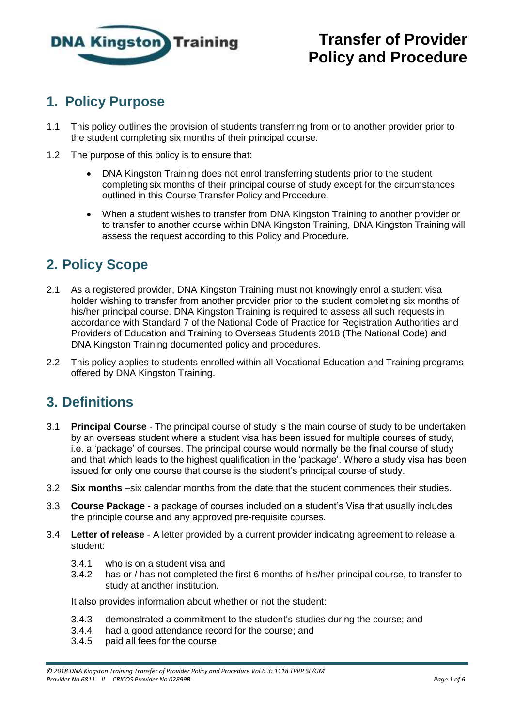

# **1. Policy Purpose**

- 1.1 This policy outlines the provision of students transferring from or to another provider prior to the student completing six months of their principal course.
- 1.2 The purpose of this policy is to ensure that:
	- DNA Kingston Training does not enrol transferring students prior to the student completing six months of their principal course of study except for the circumstances outlined in this Course Transfer Policy and Procedure.
	- When a student wishes to transfer from DNA Kingston Training to another provider or to transfer to another course within DNA Kingston Training, DNA Kingston Training will assess the request according to this Policy and Procedure.

### **2. Policy Scope**

- 2.1 As a registered provider, DNA Kingston Training must not knowingly enrol a student visa holder wishing to transfer from another provider prior to the student completing six months of his/her principal course. DNA Kingston Training is required to assess all such requests in accordance with Standard 7 of the National Code of Practice for Registration Authorities and Providers of Education and Training to Overseas Students 2018 (The National Code) and DNA Kingston Training documented policy and procedures.
- 2.2 This policy applies to students enrolled within all Vocational Education and Training programs offered by DNA Kingston Training.

#### **3. Definitions**

- 3.1 **Principal Course** The principal course of study is the main course of study to be undertaken by an overseas student where a student visa has been issued for multiple courses of study, i.e. a 'package' of courses. The principal course would normally be the final course of study and that which leads to the highest qualification in the 'package'. Where a study visa has been issued for only one course that course is the student's principal course of study.
- 3.2 **Six months** –six calendar months from the date that the student commences their studies.
- 3.3 **Course Package** a package of courses included on a student's Visa that usually includes the principle course and any approved pre-requisite courses.
- 3.4 **Letter of release** A letter provided by a current provider indicating agreement to release a student:
	- 3.4.1 who is on a student visa and
	- 3.4.2 has or / has not completed the first 6 months of his/her principal course, to transfer to study at another institution.

It also provides information about whether or not the student:

- 3.4.3 demonstrated a commitment to the student's studies during the course; and
- 3.4.4 had a good attendance record for the course; and
- 3.4.5 paid all fees for the course.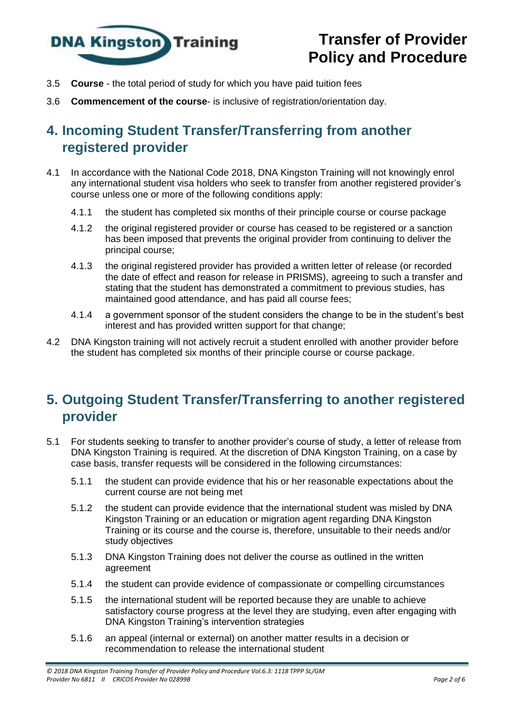

- 3.5 **Course** the total period of study for which you have paid tuition fees
- 3.6 **Commencement of the course** is inclusive of registration/orientation day.

## **4. Incoming Student Transfer/Transferring from another registered provider**

- 4.1 In accordance with the National Code 2018, DNA Kingston Training will not knowingly enrol any international student visa holders who seek to transfer from another registered provider's course unless one or more of the following conditions apply:
	- 4.1.1 the student has completed six months of their principle course or course package
	- 4.1.2 the original registered provider or course has ceased to be registered or a sanction has been imposed that prevents the original provider from continuing to deliver the principal course;
	- 4.1.3 the original registered provider has provided a written letter of release (or recorded the date of effect and reason for release in PRISMS), agreeing to such a transfer and stating that the student has demonstrated a commitment to previous studies, has maintained good attendance, and has paid all course fees;
	- 4.1.4 a government sponsor of the student considers the change to be in the student's best interest and has provided written support for that change;
- 4.2 DNA Kingston training will not actively recruit a student enrolled with another provider before the student has completed six months of their principle course or course package.

## **5. Outgoing Student Transfer/Transferring to another registered provider**

- 5.1 For students seeking to transfer to another provider's course of study, a letter of release from DNA Kingston Training is required. At the discretion of DNA Kingston Training, on a case by case basis, transfer requests will be considered in the following circumstances:
	- 5.1.1 the student can provide evidence that his or her reasonable expectations about the current course are not being met
	- 5.1.2 the student can provide evidence that the international student was misled by DNA Kingston Training or an education or migration agent regarding DNA Kingston Training or its course and the course is, therefore, unsuitable to their needs and/or study objectives
	- 5.1.3 DNA Kingston Training does not deliver the course as outlined in the written agreement
	- 5.1.4 the student can provide evidence of compassionate or compelling circumstances
	- 5.1.5 the international student will be reported because they are unable to achieve satisfactory course progress at the level they are studying, even after engaging with DNA Kingston Training's intervention strategies
	- 5.1.6 an appeal (internal or external) on another matter results in a decision or recommendation to release the international student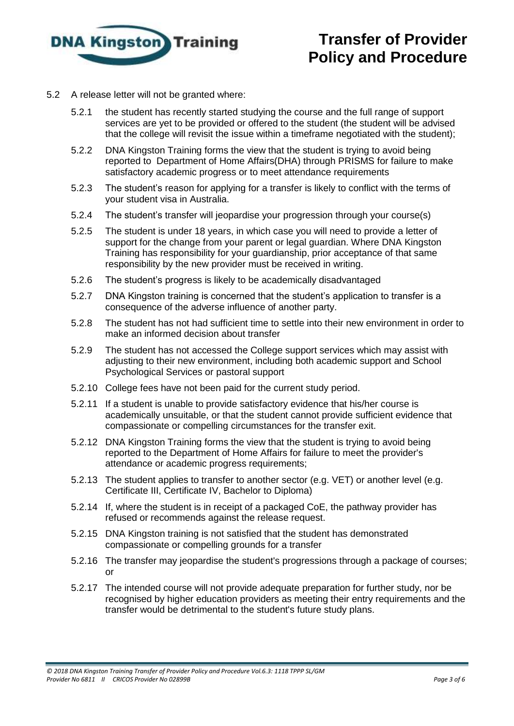

- 5.2 A release letter will not be granted where:
	- 5.2.1 the student has recently started studying the course and the full range of support services are yet to be provided or offered to the student (the student will be advised that the college will revisit the issue within a timeframe negotiated with the student);
	- 5.2.2 DNA Kingston Training forms the view that the student is trying to avoid being reported to Department of Home Affairs(DHA) through PRISMS for failure to make satisfactory academic progress or to meet attendance requirements
	- 5.2.3 The student's reason for applying for a transfer is likely to conflict with the terms of your student visa in Australia.
	- 5.2.4 The student's transfer will jeopardise your progression through your course(s)
	- 5.2.5 The student is under 18 years, in which case you will need to provide a letter of support for the change from your parent or legal guardian. Where DNA Kingston Training has responsibility for your guardianship, prior acceptance of that same responsibility by the new provider must be received in writing.
	- 5.2.6 The student's progress is likely to be academically disadvantaged
	- 5.2.7 DNA Kingston training is concerned that the student's application to transfer is a consequence of the adverse influence of another party.
	- 5.2.8 The student has not had sufficient time to settle into their new environment in order to make an informed decision about transfer
	- 5.2.9 The student has not accessed the College support services which may assist with adjusting to their new environment, including both academic support and School Psychological Services or pastoral support
	- 5.2.10 College fees have not been paid for the current study period.
	- 5.2.11 If a student is unable to provide satisfactory evidence that his/her course is academically unsuitable, or that the student cannot provide sufficient evidence that compassionate or compelling circumstances for the transfer exit.
	- 5.2.12 DNA Kingston Training forms the view that the student is trying to avoid being reported to the Department of Home Affairs for failure to meet the provider's attendance or academic progress requirements;
	- 5.2.13 The student applies to transfer to another sector (e.g. VET) or another level (e.g. Certificate III, Certificate IV, Bachelor to Diploma)
	- 5.2.14 If, where the student is in receipt of a packaged CoE, the pathway provider has refused or recommends against the release request.
	- 5.2.15 DNA Kingston training is not satisfied that the student has demonstrated compassionate or compelling grounds for a transfer
	- 5.2.16 The transfer may jeopardise the student's progressions through a package of courses; or
	- 5.2.17 The intended course will not provide adequate preparation for further study, nor be recognised by higher education providers as meeting their entry requirements and the transfer would be detrimental to the student's future study plans.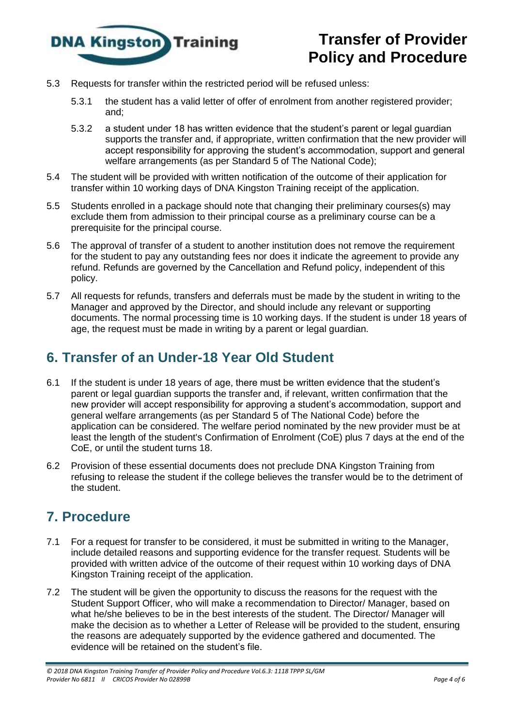

- 5.3 Requests for transfer within the restricted period will be refused unless:
	- 5.3.1 the student has a valid letter of offer of enrolment from another registered provider; and;
	- 5.3.2 a student under 18 has written evidence that the student's parent or legal guardian supports the transfer and, if appropriate, written confirmation that the new provider will accept responsibility for approving the student's accommodation, support and general welfare arrangements (as per Standard 5 of The National Code);
- 5.4 The student will be provided with written notification of the outcome of their application for transfer within 10 working days of DNA Kingston Training receipt of the application.
- 5.5 Students enrolled in a package should note that changing their preliminary courses(s) may exclude them from admission to their principal course as a preliminary course can be a prerequisite for the principal course.
- 5.6 The approval of transfer of a student to another institution does not remove the requirement for the student to pay any outstanding fees nor does it indicate the agreement to provide any refund. Refunds are governed by the Cancellation and Refund policy, independent of this policy.
- 5.7 All requests for refunds, transfers and deferrals must be made by the student in writing to the Manager and approved by the Director, and should include any relevant or supporting documents. The normal processing time is 10 working days. If the student is under 18 years of age, the request must be made in writing by a parent or legal guardian.

## **6. Transfer of an Under-18 Year Old Student**

- 6.1 If the student is under 18 years of age, there must be written evidence that the student's parent or legal guardian supports the transfer and, if relevant, written confirmation that the new provider will accept responsibility for approving a student's accommodation, support and general welfare arrangements (as per Standard 5 of The National Code) before the application can be considered. The welfare period nominated by the new provider must be at least the length of the student's Confirmation of Enrolment (CoE) plus 7 days at the end of the CoE, or until the student turns 18.
- 6.2 Provision of these essential documents does not preclude DNA Kingston Training from refusing to release the student if the college believes the transfer would be to the detriment of the student.

## **7. Procedure**

- 7.1 For a request for transfer to be considered, it must be submitted in writing to the Manager, include detailed reasons and supporting evidence for the transfer request. Students will be provided with written advice of the outcome of their request within 10 working days of DNA Kingston Training receipt of the application.
- 7.2 The student will be given the opportunity to discuss the reasons for the request with the Student Support Officer, who will make a recommendation to Director/ Manager, based on what he/she believes to be in the best interests of the student. The Director/ Manager will make the decision as to whether a Letter of Release will be provided to the student, ensuring the reasons are adequately supported by the evidence gathered and documented. The evidence will be retained on the student's file.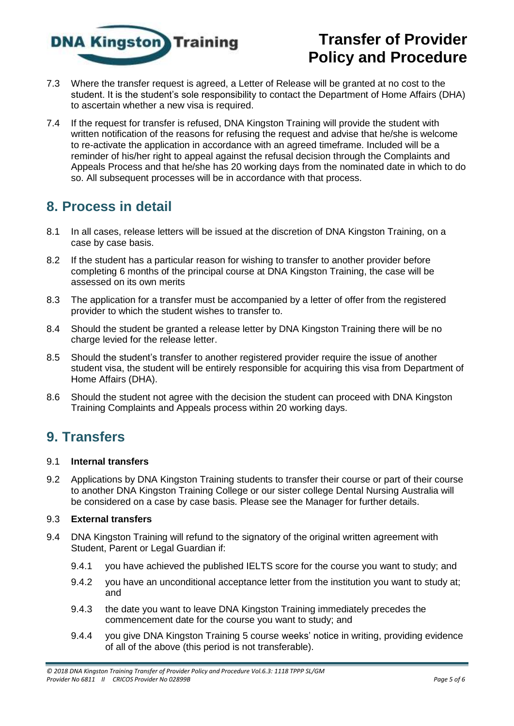

- 7.3 Where the transfer request is agreed, a Letter of Release will be granted at no cost to the student. It is the student's sole responsibility to contact the Department of Home Affairs (DHA) to ascertain whether a new visa is required.
- 7.4 If the request for transfer is refused, DNA Kingston Training will provide the student with written notification of the reasons for refusing the request and advise that he/she is welcome to re-activate the application in accordance with an agreed timeframe. Included will be a reminder of his/her right to appeal against the refusal decision through the Complaints and Appeals Process and that he/she has 20 working days from the nominated date in which to do so. All subsequent processes will be in accordance with that process.

#### **8. Process in detail**

- 8.1 In all cases, release letters will be issued at the discretion of DNA Kingston Training, on a case by case basis.
- 8.2 If the student has a particular reason for wishing to transfer to another provider before completing 6 months of the principal course at DNA Kingston Training, the case will be assessed on its own merits
- 8.3 The application for a transfer must be accompanied by a letter of offer from the registered provider to which the student wishes to transfer to.
- 8.4 Should the student be granted a release letter by DNA Kingston Training there will be no charge levied for the release letter.
- 8.5 Should the student's transfer to another registered provider require the issue of another student visa, the student will be entirely responsible for acquiring this visa from Department of Home Affairs (DHA).
- 8.6 Should the student not agree with the decision the student can proceed with DNA Kingston Training Complaints and Appeals process within 20 working days.

### **9. Transfers**

#### 9.1 **Internal transfers**

9.2 Applications by DNA Kingston Training students to transfer their course or part of their course to another DNA Kingston Training College or our sister college Dental Nursing Australia will be considered on a case by case basis. Please see the Manager for further details.

#### 9.3 **External transfers**

- 9.4 DNA Kingston Training will refund to the signatory of the original written agreement with Student, Parent or Legal Guardian if:
	- 9.4.1 you have achieved the published IELTS score for the course you want to study; and
	- 9.4.2 you have an unconditional acceptance letter from the institution you want to study at; and
	- 9.4.3 the date you want to leave DNA Kingston Training immediately precedes the commencement date for the course you want to study; and
	- 9.4.4 you give DNA Kingston Training 5 course weeks' notice in writing, providing evidence of all of the above (this period is not transferable).